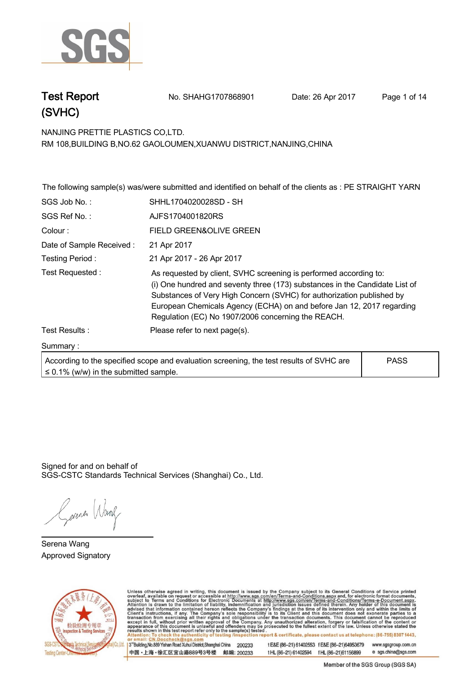

**Test Report No. SHAHG1707868901** Date: 26 Apr 2017 Page 1 of 14

**NANJING PRETTIE PLASTICS CO,LTD. . RM 108,BUILDING B,NO.62 GAOLOUMEN,XUANWU DISTRICT,NANJING,CHINA**

**The following sample(s) was/were submitted and identified on behalf of the clients as : PE STRAIGHT YARN . SGS Job No. : SHHL1704020028SD - SH . SGS Ref No. :. AJFS1704001820RS. Colour :. FIELD GREEN&OLIVE GREEN . Date of Sample Received : . 21 Apr 2017. Testing Period :. 21 Apr 2017 - 26 Apr 2017 . Test Requested :. As requested by client, SVHC screening is performed according to: (i) One hundred and seventy three (173) substances in the Candidate List of Substances of Very High Concern (SVHC) for authorization published by European Chemicals Agency (ECHA) on and before Jan 12, 2017 regarding Regulation (EC) No 1907/2006 concerning the REACH. . Test Results :. Please refer to next page(s). Summary :. According to the specified scope and evaluation screening, the test results of SVHC are ≤ 0.1% (w/w) in the submitted sample. PASS**

Signed for and on behalf of SGS-CSTC Standards Technical Services (Shanghai) Co., Ltd..

Gerener Wang

**Serena Wang. Approved Signatory . . .**



Unless otherwise agreed in writing, this document is issued by the Company subject to its General Conditions of Service printed<br>overleaf, available on request or accessible at http://www.sgs.com/en/Terms-and-Conditions.asp on report & certificate, please contact us at telephone: (86-755) 8307 1443, testing /ins 13<sup>rd</sup> Building, No.889 Yishan Road Xuhui District, Shanghai China 200233 t E&E (86-21) 61402553 f E&E (86-21)64953679 www.sgsgroup.com.cn

中国·上海·徐汇区宜山路889号3号楼 邮编: 200233

t HL (86-21) 61402594 f HL (86-21) 61156899 e sgs.china@sgs.com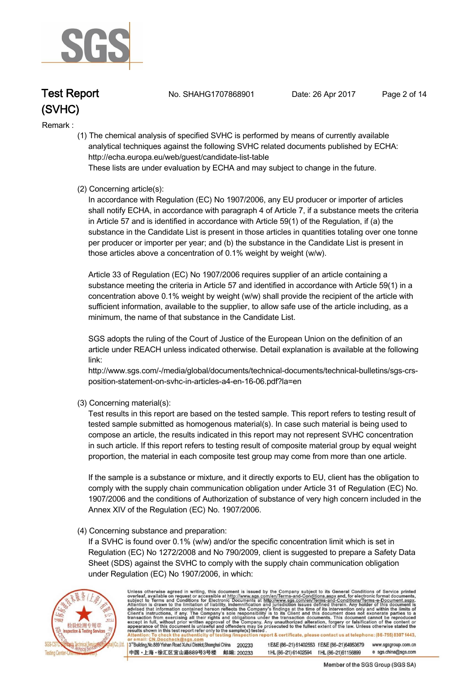

**Test Report. No. SHAHG1707868901 Date: 26 Apr 2017. Page 2 of 14.**

#### **Remark :.**

 **(1) The chemical analysis of specified SVHC is performed by means of currently available analytical techniques against the following SVHC related documents published by ECHA: http://echa.europa.eu/web/guest/candidate-list-table These lists are under evaluation by ECHA and may subject to change in the future.** 

 **(2) Concerning article(s):** 

 **In accordance with Regulation (EC) No 1907/2006, any EU producer or importer of articles shall notify ECHA, in accordance with paragraph 4 of Article 7, if a substance meets the criteria in Article 57 and is identified in accordance with Article 59(1) of the Regulation, if (a) the substance in the Candidate List is present in those articles in quantities totaling over one tonne per producer or importer per year; and (b) the substance in the Candidate List is present in those articles above a concentration of 0.1% weight by weight (w/w).** 

 **Article 33 of Regulation (EC) No 1907/2006 requires supplier of an article containing a substance meeting the criteria in Article 57 and identified in accordance with Article 59(1) in a concentration above 0.1% weight by weight (w/w) shall provide the recipient of the article with sufficient information, available to the supplier, to allow safe use of the article including, as a minimum, the name of that substance in the Candidate List.** 

 **SGS adopts the ruling of the Court of Justice of the European Union on the definition of an article under REACH unless indicated otherwise. Detail explanation is available at the following link:** 

 **http://www.sgs.com/-/media/global/documents/technical-documents/technical-bulletins/sgs-crs position-statement-on-svhc-in-articles-a4-en-16-06.pdf?la=en** 

 **(3) Concerning material(s):** 

 **Test results in this report are based on the tested sample. This report refers to testing result of tested sample submitted as homogenous material(s). In case such material is being used to compose an article, the results indicated in this report may not represent SVHC concentration in such article. If this report refers to testing result of composite material group by equal weight proportion, the material in each composite test group may come from more than one article.** 

 **If the sample is a substance or mixture, and it directly exports to EU, client has the obligation to comply with the supply chain communication obligation under Article 31 of Regulation (EC) No. 1907/2006 and the conditions of Authorization of substance of very high concern included in the Annex XIV of the Regulation (EC) No. 1907/2006.** 

#### **(4) Concerning substance and preparation:**

 **If a SVHC is found over 0.1% (w/w) and/or the specific concentration limit which is set in Regulation (EC) No 1272/2008 and No 790/2009, client is suggested to prepare a Safety Data Sheet (SDS) against the SVHC to comply with the supply chain communication obligation under Regulation (EC) No 1907/2006, in which:** 



Unless otherwise agreed in writing, this document is issued by the Company subject to its General Conditions of Service printed<br>overleaf, available on request or accessible at http://www.sgs.com/en/Terms-and-Conditions.asp on report & certificate, please contact us at telephone: (86-755) 8307 1443, sting /ins 3<sup>rd</sup>Building, No.889 Yishan Road Xuhui District, Shanghai China 200233

中国·上海·徐汇区宜山路889号3号楼 邮编: 200233

t E&E (86-21) 61402553 f E&E (86-21) 64953679 www.sgsgroup.com.cn tHL (86-21) 61402594 fHL (86-21) 61156899 e sgs.china@sgs.com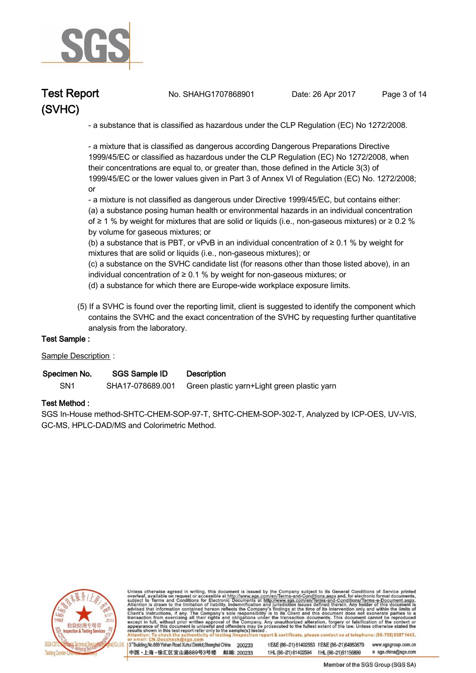

**Test Report. No. SHAHG1707868901 Date: 26 Apr 2017. Page 3 of 14.**

 **- a substance that is classified as hazardous under the CLP Regulation (EC) No 1272/2008.** 

 **- a mixture that is classified as dangerous according Dangerous Preparations Directive 1999/45/EC or classified as hazardous under the CLP Regulation (EC) No 1272/2008, when their concentrations are equal to, or greater than, those defined in the Article 3(3) of 1999/45/EC or the lower values given in Part 3 of Annex VI of Regulation (EC) No. 1272/2008; or** 

 **- a mixture is not classified as dangerous under Directive 1999/45/EC, but contains either:** 

 **(a) a substance posing human health or environmental hazards in an individual concentration of ≥ 1 % by weight for mixtures that are solid or liquids (i.e., non-gaseous mixtures) or ≥ 0.2 % by volume for gaseous mixtures; or** 

 **(b) a substance that is PBT, or vPvB in an individual concentration of ≥ 0.1 % by weight for mixtures that are solid or liquids (i.e., non-gaseous mixtures); or** 

 **(c) a substance on the SVHC candidate list (for reasons other than those listed above), in an individual concentration of ≥ 0.1 % by weight for non-gaseous mixtures; or** 

 **(d) a substance for which there are Europe-wide workplace exposure limits.** 

 **(5) If a SVHC is found over the reporting limit, client is suggested to identify the component which contains the SVHC and the exact concentration of the SVHC by requesting further quantitative analysis from the laboratory.** 

#### **Test Sample :.**

#### **Sample Description :.**

| Specimen No.    | <b>SGS Sample ID</b> | <b>Description</b>                                           |
|-----------------|----------------------|--------------------------------------------------------------|
| SN <sub>1</sub> |                      | SHA17-078689.001 Green plastic yarn+Light green plastic yarn |

#### **Test Method :.**

**SGS In-House method-SHTC-CHEM-SOP-97-T, SHTC-CHEM-SOP-302-T, Analyzed by ICP-OES, UV-VIS, GC-MS, HPLC-DAD/MS and Colorimetric Method. .**



Unless otherwise agreed in writing, this document is issued by the Company subject to its General Conditions of Service printed<br>overleaf, available on request or accessible at http://www.sgs.com/en/Terms-and-Conditions.asp on report & certificate, please contact us at telephone: (86-755) 8307 1443, esting /ins

3<sup>14</sup>Building, No.889 Yishan Road Xuhui District, Shanghai China 200233 中国·上海·徐汇区宜山路889号3号楼 邮编: 200233 tE&E (86-21) 61402553 fE&E (86-21)64953679 www.sgsgroup.com.cn e sgs.china@sgs.com tHL (86-21) 61402594 fHL (86-21) 61156899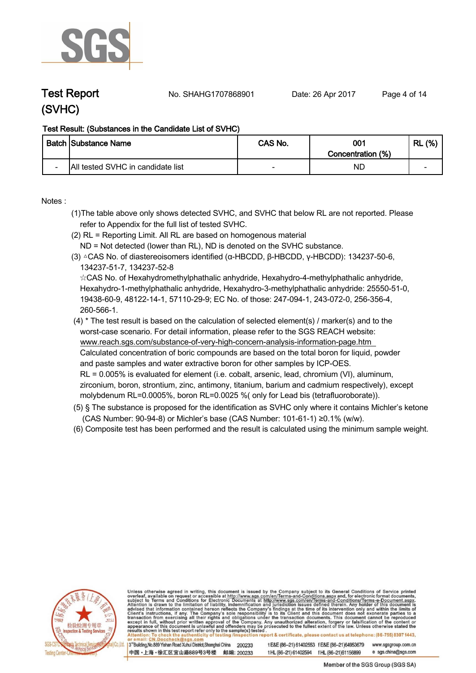

**Test Report No. SHAHG1707868901** Date: 26 Apr 2017 Page 4 of 14

#### **Test Result: (Substances in the Candidate List of SVHC)**

|                          | <b>Batch Substance Name</b>       | CAS No. | 001<br>Concentration (%) | (%)<br>RL                |
|--------------------------|-----------------------------------|---------|--------------------------|--------------------------|
| $\overline{\phantom{0}}$ | All tested SVHC in candidate list |         | NC                       | $\overline{\phantom{0}}$ |

**Notes :.**

- **(1)The table above only shows detected SVHC, and SVHC that below RL are not reported. Please refer to Appendix for the full list of tested SVHC.**
- **(2) RL = Reporting Limit. All RL are based on homogenous material**
- **ND = Not detected (lower than RL), ND is denoted on the SVHC substance.**
- **(3) △CAS No. of diastereoisomers identified (α-HBCDD, β-HBCDD, γ-HBCDD): 134237-50-6, 134237-51-7, 134237-52-8**

 **☆CAS No. of Hexahydromethylphathalic anhydride, Hexahydro-4-methylphathalic anhydride, Hexahydro-1-methylphathalic anhydride, Hexahydro-3-methylphathalic anhydride: 25550-51-0, 19438-60-9, 48122-14-1, 57110-29-9; EC No. of those: 247-094-1, 243-072-0, 256-356-4, 260-566-1.**

- **(4) \* The test result is based on the calculation of selected element(s) / marker(s) and to the worst-case scenario. For detail information, please refer to the SGS REACH website: www.reach.sgs.com/substance-of-very-high-concern-analysis-information-page.htm Calculated concentration of boric compounds are based on the total boron for liquid, powder and paste samples and water extractive boron for other samples by ICP-OES. RL = 0.005% is evaluated for element (i.e. cobalt, arsenic, lead, chromium (VI), aluminum, zirconium, boron, strontium, zinc, antimony, titanium, barium and cadmium respectively), except molybdenum RL=0.0005%, boron RL=0.0025 %( only for Lead bis (tetrafluoroborate)). .**
- **(5) § The substance is proposed for the identification as SVHC only where it contains Michler's ketone (CAS Number: 90-94-8) or Michler's base (CAS Number: 101-61-1) ≥0.1% (w/w).**
- **(6) Composite test has been performed and the result is calculated using the minimum sample weight. .**



Unless otherwise agreed in writing, this document is issued by the Company subject to its General Conditions of Service printed overleaf, available on request or accessible at http://www.sgs.com/en/Terms-and-Conditions.asp results shown in this test report refer only to the sample(s) tested on report & certificate, please contact us at telephone: (86-755) 8307 1443, esting /ins

3<sup>rd</sup>Building, No.889 Yishan Road Xuhui District, Shanghai China 200233 中国・上海・徐汇区宜山路889号3号楼 邮编: 200233 t E&E (86-21) 61402553 f E&E (86-21)64953679 www.sgsgroup.com.cn tHL (86-21) 61402594 fHL (86-21) 61156899 e sgs.china@sgs.com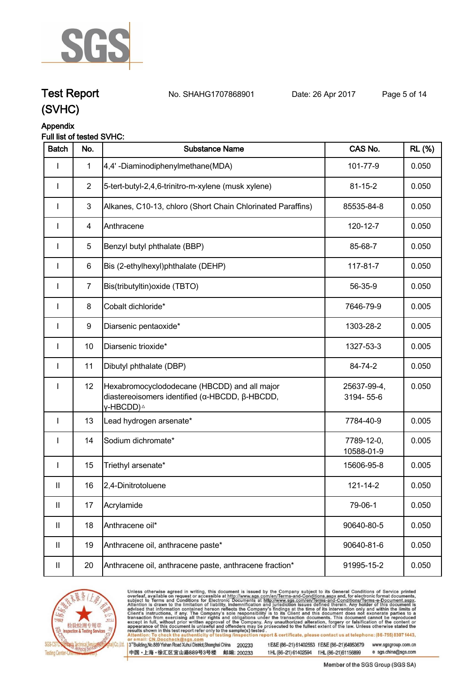

**Test Report. No. SHAHG1707868901 Date: 26 Apr 2017. Page 5 of 14.**

#### **Appendix Full list of tested SVHC:**

| <b>Batch</b>               | No.            | <b>Substance Name</b>                                                                                                   | CAS No.                  | <b>RL</b> (%) |
|----------------------------|----------------|-------------------------------------------------------------------------------------------------------------------------|--------------------------|---------------|
|                            | 1              | 4,4'-Diaminodiphenylmethane(MDA)                                                                                        | 101-77-9                 | 0.050         |
| <b>I</b>                   | $\overline{2}$ | 5-tert-butyl-2,4,6-trinitro-m-xylene (musk xylene)                                                                      | $81 - 15 - 2$            | 0.050         |
| I                          | $\mathfrak{B}$ | Alkanes, C10-13, chloro (Short Chain Chlorinated Paraffins)                                                             | 85535-84-8               | 0.050         |
| I                          | 4              | Anthracene                                                                                                              | 120-12-7                 | 0.050         |
| I                          | $\sqrt{5}$     | Benzyl butyl phthalate (BBP)                                                                                            | 85-68-7                  | 0.050         |
| $\mathbf{I}$               | 6              | Bis (2-ethylhexyl)phthalate (DEHP)                                                                                      | 117-81-7                 | 0.050         |
| I                          | $\overline{7}$ | Bis(tributyltin) oxide (TBTO)                                                                                           | 56-35-9                  | 0.050         |
| I                          | 8              | Cobalt dichloride*                                                                                                      | 7646-79-9                | 0.005         |
| $\mathbf{I}$               | 9              | Diarsenic pentaoxide*                                                                                                   | 1303-28-2                | 0.005         |
| I                          | 10             | Diarsenic trioxide*                                                                                                     | 1327-53-3                | 0.005         |
| $\mathbf{I}$               | 11             | Dibutyl phthalate (DBP)                                                                                                 | 84-74-2                  | 0.050         |
| $\mathbf{I}$               | 12             | Hexabromocyclododecane (HBCDD) and all major<br>diastereoisomers identified (α-HBCDD, β-HBCDD,<br>γ-HBCDD) <sup>∆</sup> | 25637-99-4,<br>3194-55-6 | 0.050         |
| $\mathbf{I}$               | 13             | Lead hydrogen arsenate*                                                                                                 | 7784-40-9                | 0.005         |
|                            | 14             | Sodium dichromate*                                                                                                      | 7789-12-0,<br>10588-01-9 | 0.005         |
| I                          | 15             | Triethyl arsenate*                                                                                                      | 15606-95-8               | 0.005         |
| Ш                          | 16             | 2,4-Dinitrotoluene                                                                                                      | 121-14-2                 | 0.050         |
| $\ensuremath{\mathsf{II}}$ | 17             | Acrylamide                                                                                                              | 79-06-1                  | 0.050         |
| $\mathbf{II}$              | 18             | Anthracene oil*                                                                                                         | 90640-80-5               | 0.050         |
| $\mathbf{II}$              | 19             | Anthracene oil, anthracene paste*                                                                                       | 90640-81-6               | 0.050         |
| Ш                          | 20             | Anthracene oil, anthracene paste, anthracene fraction*                                                                  | 91995-15-2               | 0.050         |



Unless otherwise agreed in writing, this document is issued by the Company subject to its General Conditions of Service printed overleaf, available on request or accessible at http://www.sgs.com/en/Terms-and-Conditions.asp

3<sup>rd</sup> Building, No.889 Yishan Road Xuhui District, Shanghai China 200233 中国·上海·徐汇区宜山路889号3号楼 邮编: 200233

t E&E (86-21) 61402553 f E&E (86-21)64953679 www.sgsgroup.com.cn t HL (86-21) 61402594 f HL (86-21) 61156899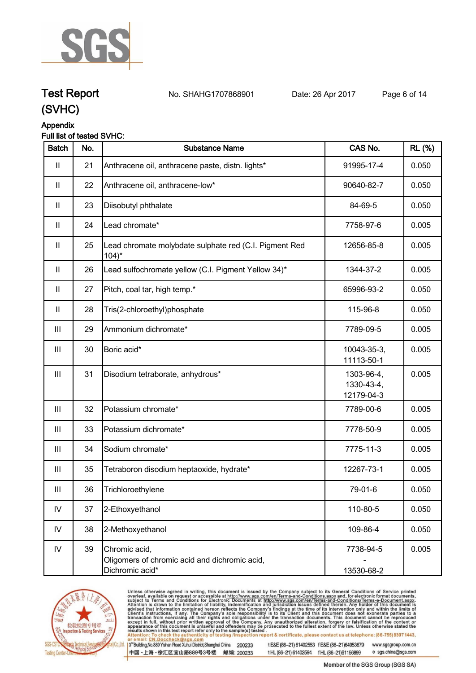

# **Test Report. No. SHAHG1707868901 Date: 26 Apr 2017. Page 6 of 14.**

## **(SVHC)**

## **Appendix**

#### **Full list of tested SVHC:**

| <b>Batch</b>               | No. | <b>Substance Name</b>                                                             | CAS No.                                | <b>RL (%)</b> |
|----------------------------|-----|-----------------------------------------------------------------------------------|----------------------------------------|---------------|
| $\mathbf{II}$              | 21  | Anthracene oil, anthracene paste, distn. lights*                                  | 91995-17-4                             | 0.050         |
| $\ensuremath{\mathsf{II}}$ | 22  | Anthracene oil, anthracene-low*                                                   | 90640-82-7                             | 0.050         |
| $\mathbf{II}$              | 23  | Diisobutyl phthalate                                                              | 84-69-5                                | 0.050         |
| $\mathbf{II}$              | 24  | Lead chromate*                                                                    | 7758-97-6                              | 0.005         |
| $\mathbf{II}$              | 25  | Lead chromate molybdate sulphate red (C.I. Pigment Red<br>$104$ <sup>*</sup>      | 12656-85-8                             | 0.005         |
| $\mathbf{II}$              | 26  | Lead sulfochromate yellow (C.I. Pigment Yellow 34)*                               | 1344-37-2                              | 0.005         |
| $\mathbf{II}$              | 27  | Pitch, coal tar, high temp.*                                                      | 65996-93-2                             | 0.050         |
| $\mathbf{II}$              | 28  | Tris(2-chloroethyl)phosphate                                                      | 115-96-8                               | 0.050         |
| $\mathbf{III}$             | 29  | Ammonium dichromate*                                                              | 7789-09-5                              | 0.005         |
| $\mathbf{III}$             | 30  | Boric acid*                                                                       | 10043-35-3,<br>11113-50-1              | 0.005         |
| $\  \ $                    | 31  | Disodium tetraborate, anhydrous*                                                  | 1303-96-4,<br>1330-43-4,<br>12179-04-3 | 0.005         |
| $\mathbf{III}$             | 32  | Potassium chromate*                                                               | 7789-00-6                              | 0.005         |
| $\mathbf{III}$             | 33  | Potassium dichromate*                                                             | 7778-50-9                              | 0.005         |
| $\mathop{\rm III}$         | 34  | Sodium chromate*                                                                  | 7775-11-3                              | 0.005         |
| Ш                          | 35  | Tetraboron disodium heptaoxide, hydrate*                                          | 12267-73-1                             | 0.005         |
| Ш                          | 36  | Trichloroethylene                                                                 | 79-01-6                                | 0.050         |
| ${\sf IV}$                 | 37  | 2-Ethoxyethanol                                                                   | 110-80-5                               | 0.050         |
| IV                         | 38  | 2-Methoxyethanol                                                                  | 109-86-4                               | 0.050         |
| ${\sf IV}$                 | 39  | Chromic acid,<br>Oligomers of chromic acid and dichromic acid,<br>Dichromic acid* | 7738-94-5<br>13530-68-2                | 0.005         |



Unless otherwise agreed in writing, this document is issued by the Company subject to its General Conditions of Service printed overleaf, available on request or accessible at http://www.sgs.com/en/Terms-and-Conditions.asp

3<sup>rd</sup> Building, No.889 Yishan Road Xuhui District, Shanghai China 200233 中国·上海·徐汇区宜山路889号3号楼 邮编: 200233

t E&E (86-21) 61402553 f E&E (86-21)64953679 www.sgsgroup.com.cn t HL (86-21) 61402594 f HL (86-21) 61156899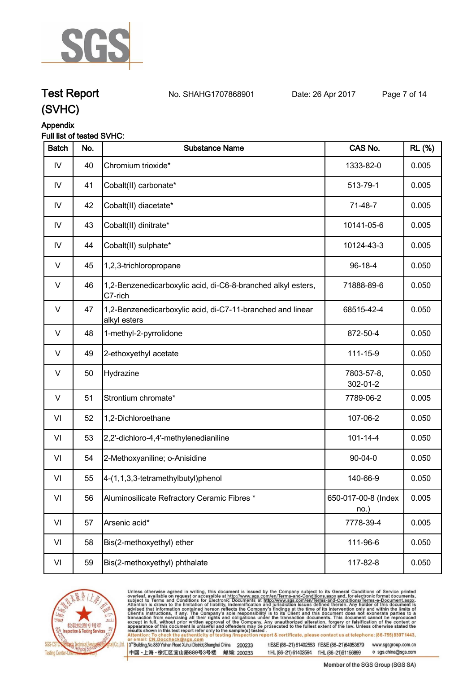

**Test Report. No. SHAHG1707868901 Date: 26 Apr 2017. Page 7 of 14.**

## **Appendix**

#### **Full list of tested SVHC:**

| <b>Batch</b> | No. | <b>Substance Name</b>                                                      | CAS No.                     | <b>RL</b> (%) |
|--------------|-----|----------------------------------------------------------------------------|-----------------------------|---------------|
| IV           | 40  | Chromium trioxide*                                                         | 1333-82-0                   | 0.005         |
| IV           | 41  | Cobalt(II) carbonate*                                                      | 513-79-1                    | 0.005         |
| IV           | 42  | Cobalt(II) diacetate*                                                      | $71-48-7$                   | 0.005         |
| IV           | 43  | Cobalt(II) dinitrate*                                                      | 10141-05-6                  | 0.005         |
| IV           | 44  | Cobalt(II) sulphate*                                                       | 10124-43-3                  | 0.005         |
| V            | 45  | 1,2,3-trichloropropane                                                     | 96-18-4                     | 0.050         |
| V            | 46  | 1,2-Benzenedicarboxylic acid, di-C6-8-branched alkyl esters,<br>C7-rich    | 71888-89-6                  | 0.050         |
| $\vee$       | 47  | 1,2-Benzenedicarboxylic acid, di-C7-11-branched and linear<br>alkyl esters | 68515-42-4                  | 0.050         |
| V            | 48  | 1-methyl-2-pyrrolidone                                                     | 872-50-4                    | 0.050         |
| $\vee$       | 49  | 2-ethoxyethyl acetate                                                      | 111-15-9                    | 0.050         |
| $\vee$       | 50  | Hydrazine                                                                  | 7803-57-8,<br>302-01-2      | 0.050         |
| V            | 51  | Strontium chromate*                                                        | 7789-06-2                   | 0.005         |
| VI           | 52  | 1,2-Dichloroethane                                                         | 107-06-2                    | 0.050         |
| VI           | 53  | 2,2'-dichloro-4,4'-methylenedianiline                                      | $101 - 14 - 4$              | 0.050         |
| VI           | 54  | 2-Methoxyaniline; o-Anisidine                                              | $90 - 04 - 0$               | 0.050         |
| VI           | 55  | 4-(1,1,3,3-tetramethylbutyl)phenol                                         | 140-66-9                    | 0.050         |
| VI           | 56  | Aluminosilicate Refractory Ceramic Fibres *                                | 650-017-00-8 (Index<br>no.) | 0.005         |
| VI           | 57  | Arsenic acid*                                                              | 7778-39-4                   | 0.005         |
| VI           | 58  | Bis(2-methoxyethyl) ether                                                  | 111-96-6                    | 0.050         |
| VI           | 59  | Bis(2-methoxyethyl) phthalate                                              | 117-82-8                    | 0.050         |



Unless otherwise agreed in writing, this document is issued by the Company subject to its General Conditions of Service printed overleaf, available on request or accessible at http://www.sgs.com/en/Terms-and-Conditions.asp

3<sup>rd</sup> Building, No.889 Yishan Road Xuhui District, Shanghai China 200233 中国·上海·徐汇区宜山路889号3号楼 邮编: 200233

t E&E (86-21) 61402553 f E&E (86-21)64953679 www.sgsgroup.com.cn t HL (86-21) 61402594 f HL (86-21) 61156899

Member of the SGS Group (SGS SA)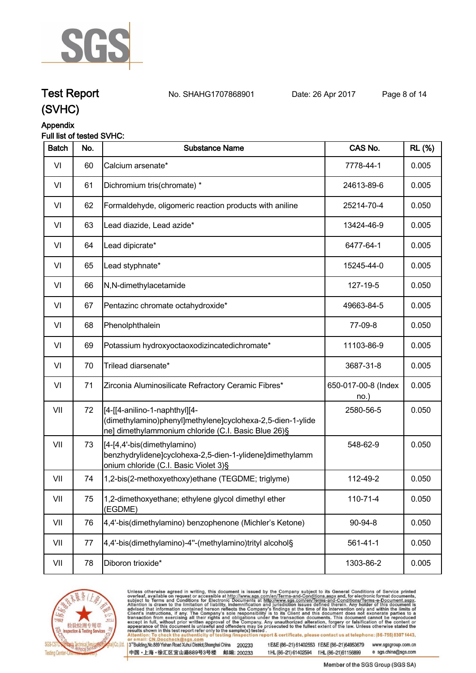

## **Test Report. No. SHAHG1707868901 Date: 26 Apr 2017. Page 8 of 14.**



#### **Appendix Full list of tested SVHC:**

| <b>Batch</b> | No. | <b>Substance Name</b>                                                                                                                              | CAS No.                     | <b>RL</b> (%) |
|--------------|-----|----------------------------------------------------------------------------------------------------------------------------------------------------|-----------------------------|---------------|
| VI           | 60  | Calcium arsenate*                                                                                                                                  | 7778-44-1                   | 0.005         |
| VI           | 61  | Dichromium tris(chromate) *                                                                                                                        | 24613-89-6                  | 0.005         |
| VI           | 62  | Formaldehyde, oligomeric reaction products with aniline                                                                                            | 25214-70-4                  | 0.050         |
| VI           | 63  | Lead diazide, Lead azide*                                                                                                                          | 13424-46-9                  | 0.005         |
| VI           | 64  | Lead dipicrate*                                                                                                                                    | 6477-64-1                   | 0.005         |
| VI           | 65  | Lead styphnate*                                                                                                                                    | 15245-44-0                  | 0.005         |
| VI           | 66  | N,N-dimethylacetamide                                                                                                                              | 127-19-5                    | 0.050         |
| VI           | 67  | Pentazinc chromate octahydroxide*                                                                                                                  | 49663-84-5                  | 0.005         |
| VI           | 68  | Phenolphthalein                                                                                                                                    | 77-09-8                     | 0.050         |
| VI           | 69  | Potassium hydroxyoctaoxodizincatedichromate*                                                                                                       | 11103-86-9                  | 0.005         |
| VI           | 70  | Trilead diarsenate*                                                                                                                                | 3687-31-8                   | 0.005         |
| VI           | 71  | Zirconia Aluminosilicate Refractory Ceramic Fibres*                                                                                                | 650-017-00-8 (Index<br>no.) | 0.005         |
| VII          | 72  | [4-[[4-anilino-1-naphthyl][4-<br>(dimethylamino)phenyl]methylene]cyclohexa-2,5-dien-1-ylide<br>ne] dimethylammonium chloride (C.I. Basic Blue 26)§ | 2580-56-5                   | 0.050         |
| VII          | 73  | [4-[4,4'-bis(dimethylamino)<br>benzhydrylidene]cyclohexa-2,5-dien-1-ylidene]dimethylamm<br>onium chloride (C.I. Basic Violet 3)§                   | 548-62-9                    | 0.050         |
| VII          | 74  | 1,2-bis(2-methoxyethoxy)ethane (TEGDME; triglyme)                                                                                                  | 112-49-2                    | 0.050         |
| VII          | 75  | 1,2-dimethoxyethane; ethylene glycol dimethyl ether<br>(EGDME)                                                                                     | 110-71-4                    | 0.050         |
| VII          | 76  | 4,4'-bis(dimethylamino) benzophenone (Michler's Ketone)                                                                                            | 90-94-8                     | 0.050         |
| VII          | 77  | 4,4'-bis(dimethylamino)-4"-(methylamino)trityl alcohol§                                                                                            | $561 - 41 - 1$              | 0.050         |
| VII          | 78  | Diboron trioxide*                                                                                                                                  | 1303-86-2                   | 0.005         |



Unless otherwise agreed in writing, this document is issued by the Company subject to its General Conditions of Service printed overleaf, available on request or accessible at http://www.sgs.com/en/Terms-and-Conditions.asp

3<sup>rd</sup> Building, No.889 Yishan Road Xuhui District, Shanghai China 200233 中国·上海·徐汇区宜山路889号3号楼 邮编: 200233 t E&E (86-21) 61402553 f E&E (86-21)64953679 www.sgsgroup.com.cn t HL (86-21) 61402594 f HL (86-21) 61156899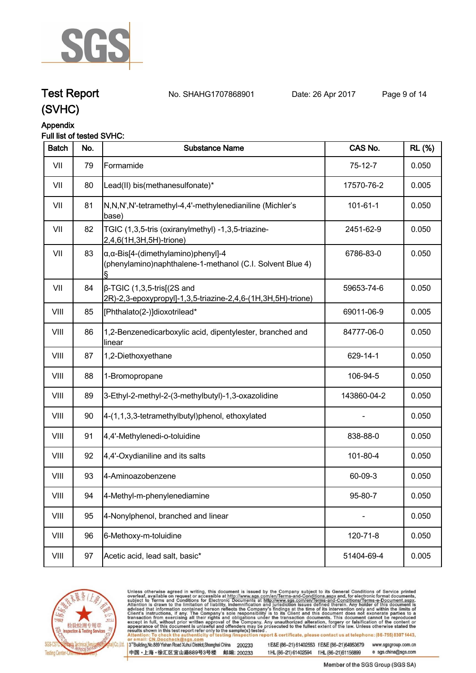

# **Test Report. No. SHAHG1707868901 Date: 26 Apr 2017. Page 9 of 14.**

# **(SVHC)**

### **Appendix**

#### **Full list of tested SVHC:**

| <b>Batch</b> | No. | <b>Substance Name</b>                                                                                            | CAS No.     | <b>RL</b> (%) |
|--------------|-----|------------------------------------------------------------------------------------------------------------------|-------------|---------------|
| VII          | 79  | Formamide                                                                                                        | $75-12-7$   | 0.050         |
| VII          | 80  | Lead(II) bis(methanesulfonate)*                                                                                  | 17570-76-2  | 0.005         |
| VII          | 81  | N,N,N',N'-tetramethyl-4,4'-methylenedianiline (Michler's<br>base)                                                | 101-61-1    | 0.050         |
| VII          | 82  | TGIC (1,3,5-tris (oxiranylmethyl) -1,3,5-triazine-<br>2,4,6(1H,3H,5H)-trione)                                    | 2451-62-9   | 0.050         |
| VII          | 83  | $\alpha$ , $\alpha$ -Bis[4-(dimethylamino)phenyl]-4<br>(phenylamino)naphthalene-1-methanol (C.I. Solvent Blue 4) | 6786-83-0   | 0.050         |
| VII          | 84  | $\beta$ -TGIC (1,3,5-tris[(2S and<br>2R)-2,3-epoxypropyl]-1,3,5-triazine-2,4,6-(1H,3H,5H)-trione)                | 59653-74-6  | 0.050         |
| VIII         | 85  | [Phthalato(2-)]dioxotrilead*                                                                                     | 69011-06-9  | 0.005         |
| VIII         | 86  | 1,2-Benzenedicarboxylic acid, dipentylester, branched and<br>linear                                              | 84777-06-0  | 0.050         |
| VIII         | 87  | 1,2-Diethoxyethane                                                                                               | 629-14-1    | 0.050         |
| VIII         | 88  | 1-Bromopropane                                                                                                   | 106-94-5    | 0.050         |
| VIII         | 89  | 3-Ethyl-2-methyl-2-(3-methylbutyl)-1,3-oxazolidine                                                               | 143860-04-2 | 0.050         |
| VIII         | 90  | 4-(1,1,3,3-tetramethylbutyl)phenol, ethoxylated                                                                  |             | 0.050         |
| VIII         | 91  | 4,4'-Methylenedi-o-toluidine                                                                                     | 838-88-0    | 0.050         |
| VIII         | 92  | 4,4'-Oxydianiline and its salts                                                                                  | 101-80-4    | 0.050         |
| VIII         | 93  | 4-Aminoazobenzene                                                                                                | 60-09-3     | 0.050         |
| VIII         | 94  | 4-Methyl-m-phenylenediamine                                                                                      | 95-80-7     | 0.050         |
| VIII         | 95  | 4-Nonylphenol, branched and linear                                                                               |             | 0.050         |
| VIII         | 96  | 6-Methoxy-m-toluidine                                                                                            | 120-71-8    | 0.050         |
| VIII         | 97  | Acetic acid, lead salt, basic*                                                                                   | 51404-69-4  | 0.005         |
|              |     |                                                                                                                  |             |               |



Unless otherwise agreed in writing, this document is issued by the Company subject to its General Conditions of Service printed overleaf, available on request or accessible at http://www.sgs.com/en/Terms-and-Conditions.asp

3<sup>rd</sup> Building, No.889 Yishan Road Xuhui District, Shanghai China 200233 中国·上海·徐汇区宜山路889号3号楼 邮编: 200233

t E&E (86-21) 61402553 f E&E (86-21)64953679 www.sgsgroup.com.cn t HL (86-21) 61402594 f HL (86-21) 61156899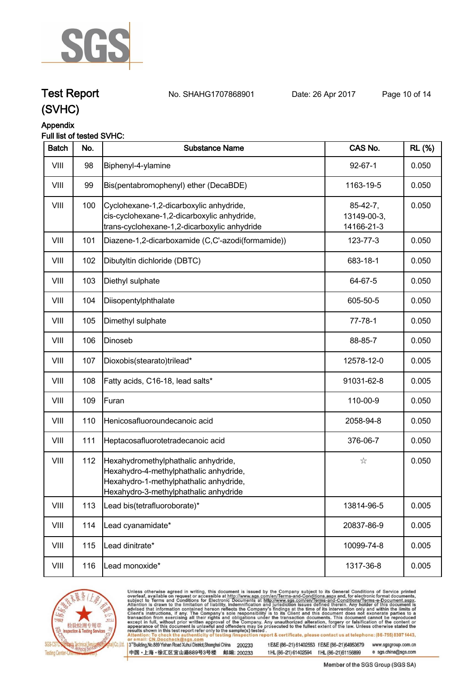

# **Test Report. No. SHAHG1707868901 Date: 26 Apr 2017. Page 10 of 14.**

# **(SVHC)**

### **Appendix**

#### **Full list of tested SVHC:**

| 0.050<br>0.050 |
|----------------|
|                |
|                |
| 0.050          |
| 0.050          |
| 0.050          |
| 0.050          |
| 0.050          |
| 0.050          |
| 0.050          |
| 0.005          |
| 0.005          |
| 0.050          |
| 0.050          |
| 0.050          |
| 0.050          |
| 0.005          |
| 0.005          |
| 0.005          |
| 0.005          |
|                |



Unless otherwise agreed in writing, this document is issued by the Company subject to its General Conditions of Service printed overleaf, available on request or accessible at http://www.sgs.com/en/Terms-and-Conditions.asp

3<sup>rd</sup> Building, No.889 Yishan Road Xuhui District, Shanghai China 200233 中国·上海·徐汇区宜山路889号3号楼 邮编: 200233

t E&E (86-21) 61402553 f E&E (86-21)64953679 www.sgsgroup.com.cn t HL (86-21) 61402594 f HL (86-21) 61156899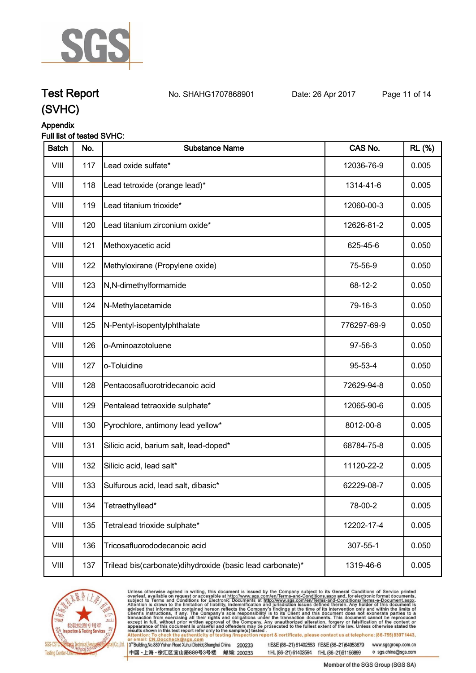

# **Test Report. No. SHAHG1707868901 Date: 26 Apr 2017. Page 11 of 14.**

**(SVHC)**

#### **Appendix Full list of tested SVHC:**

| <b>Batch</b> | No. | <b>Substance Name</b>                                       | CAS No.     | <b>RL</b> (%) |
|--------------|-----|-------------------------------------------------------------|-------------|---------------|
| VIII         | 117 | Lead oxide sulfate*                                         | 12036-76-9  | 0.005         |
| VIII         | 118 | Lead tetroxide (orange lead)*                               | 1314-41-6   | 0.005         |
| VIII         | 119 | Lead titanium trioxide*                                     | 12060-00-3  | 0.005         |
| VIII         | 120 | Lead titanium zirconium oxide*                              | 12626-81-2  | 0.005         |
| VIII         | 121 | Methoxyacetic acid                                          | 625-45-6    | 0.050         |
| VIII         | 122 | Methyloxirane (Propylene oxide)                             | 75-56-9     | 0.050         |
| VIII         | 123 | N,N-dimethylformamide                                       | 68-12-2     | 0.050         |
| VIII         | 124 | N-Methylacetamide                                           | 79-16-3     | 0.050         |
| VIII         | 125 | N-Pentyl-isopentylphthalate                                 | 776297-69-9 | 0.050         |
| VIII         | 126 | o-Aminoazotoluene                                           | 97-56-3     | 0.050         |
| VIII         | 127 | o-Toluidine                                                 | 95-53-4     | 0.050         |
| VIII         | 128 | Pentacosafluorotridecanoic acid                             | 72629-94-8  | 0.050         |
| VIII         | 129 | Pentalead tetraoxide sulphate*                              | 12065-90-6  | 0.005         |
| VIII         | 130 | Pyrochlore, antimony lead yellow*                           | 8012-00-8   | 0.005         |
| VIII         | 131 | Silicic acid, barium salt, lead-doped*                      | 68784-75-8  | 0.005         |
| VIII         | 132 | Silicic acid, lead salt*                                    | 11120-22-2  | 0.005         |
| VIII         | 133 | Sulfurous acid, lead salt, dibasic*                         | 62229-08-7  | 0.005         |
| VIII         | 134 | Tetraethyllead*                                             | 78-00-2     | 0.005         |
| VIII         | 135 | Tetralead trioxide sulphate*                                | 12202-17-4  | 0.005         |
| VIII         | 136 | Tricosafluorododecanoic acid                                | 307-55-1    | 0.050         |
| VIII         | 137 | Trilead bis(carbonate) dihy droxide (basic lead carbonate)* | 1319-46-6   | 0.005         |



Unless otherwise agreed in writing, this document is issued by the Company subject to its General Conditions of Service printed overleaf, available on request or accessible at http://www.sgs.com/en/Terms-and-Conditions.asp

3<sup>rd</sup> Building, No.889 Yishan Road Xuhui District, Shanghai China 200233 中国·上海·徐汇区宜山路889号3号楼 邮编: 200233

t E&E (86-21) 61402553 f E&E (86-21)64953679 www.sgsgroup.com.cn t HL (86-21) 61402594 f HL (86-21) 61156899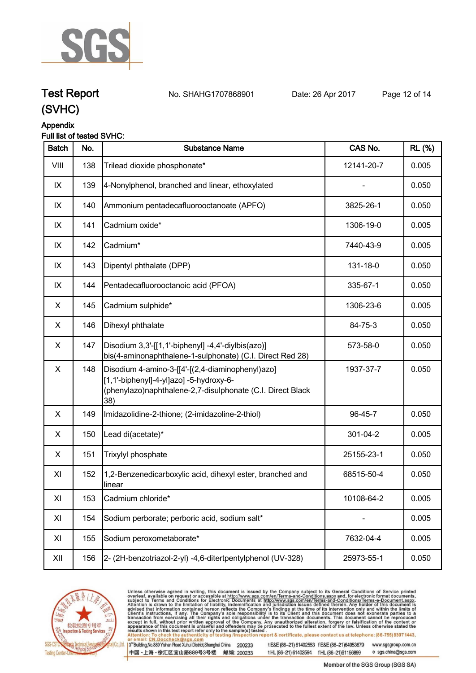

# **Test Report. No. SHAHG1707868901 Date: 26 Apr 2017. Page 12 of 14.**

## **(SVHC)**

### **Appendix**

#### **Full list of tested SVHC:**

| <b>Batch</b>   | No. | <b>Substance Name</b>                                                                                                                                            | CAS No.    | <b>RL</b> (%) |
|----------------|-----|------------------------------------------------------------------------------------------------------------------------------------------------------------------|------------|---------------|
| VIII           | 138 | Trilead dioxide phosphonate*                                                                                                                                     | 12141-20-7 | 0.005         |
| IX             | 139 | 4-Nonylphenol, branched and linear, ethoxylated                                                                                                                  |            | 0.050         |
| IX             | 140 | Ammonium pentadecafluorooctanoate (APFO)                                                                                                                         | 3825-26-1  | 0.050         |
| IX             | 141 | Cadmium oxide*                                                                                                                                                   | 1306-19-0  | 0.005         |
| IX             | 142 | Cadmium*                                                                                                                                                         | 7440-43-9  | 0.005         |
| IX             | 143 | Dipentyl phthalate (DPP)                                                                                                                                         | 131-18-0   | 0.050         |
| IX             | 144 | Pentadecafluorooctanoic acid (PFOA)                                                                                                                              | 335-67-1   | 0.050         |
| X              | 145 | Cadmium sulphide*                                                                                                                                                | 1306-23-6  | 0.005         |
| X              | 146 | Dihexyl phthalate                                                                                                                                                | 84-75-3    | 0.050         |
| X              | 147 | Disodium 3,3'-[[1,1'-biphenyl] -4,4'-diylbis(azo)]<br>bis(4-aminonaphthalene-1-sulphonate) (C.I. Direct Red 28)                                                  | 573-58-0   | 0.050         |
| $\pmb{\times}$ | 148 | Disodium 4-amino-3-[[4'-[(2,4-diaminophenyl)azo]<br>[1,1'-biphenyl]-4-yl]azo] -5-hydroxy-6-<br>(phenylazo)naphthalene-2,7-disulphonate (C.I. Direct Black<br>38) | 1937-37-7  | 0.050         |
| X              | 149 | Imidazolidine-2-thione; (2-imidazoline-2-thiol)                                                                                                                  | 96-45-7    | 0.050         |
| X              | 150 | Lead di(acetate)*                                                                                                                                                | 301-04-2   | 0.005         |
| X              | 151 | Trixylyl phosphate                                                                                                                                               | 25155-23-1 | 0.050         |
| XI             | 152 | 1,2-Benzenedicarboxylic acid, dihexyl ester, branched and<br>linear                                                                                              | 68515-50-4 | 0.050         |
| XI             | 153 | Cadmium chloride*                                                                                                                                                | 10108-64-2 | 0.005         |
| XI             | 154 | Sodium perborate; perboric acid, sodium salt*                                                                                                                    |            | 0.005         |
| XI             | 155 | Sodium peroxometaborate*                                                                                                                                         | 7632-04-4  | 0.005         |
| XII            | 156 | 2- (2H-benzotriazol-2-yl) -4,6-ditertpentylphenol (UV-328)                                                                                                       | 25973-55-1 | 0.050         |
|                |     |                                                                                                                                                                  |            |               |



Unless otherwise agreed in writing, this document is issued by the Company subject to its General Conditions of Service printed overleaf, available on request or accessible at http://www.sgs.com/en/Terms-and-Conditions.asp

3<sup>rd</sup> Building, No.889 Yishan Road Xuhui District, Shanghai China 200233 中国·上海·徐汇区宜山路889号3号楼 邮编: 200233

t E&E (86-21) 61402553 f E&E (86-21)64953679 www.sgsgroup.com.cn t HL (86-21) 61402594 f HL (86-21) 61156899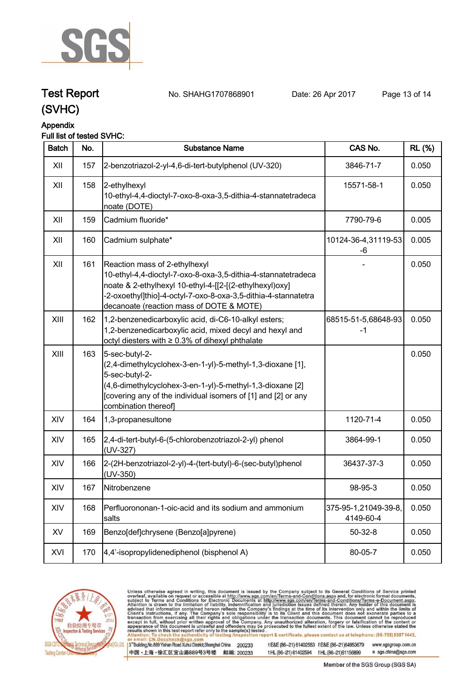

# **Test Report. No. SHAHG1707868901 Date: 26 Apr 2017. Page 13 of 14.**

**(SVHC)**

#### **Appendix Full list of tested SVHC:**

| <b>Batch</b> | No. | <b>Substance Name</b>                                                                                                                                                                                                                                                   | CAS No.                           | <b>RL</b> (%) |
|--------------|-----|-------------------------------------------------------------------------------------------------------------------------------------------------------------------------------------------------------------------------------------------------------------------------|-----------------------------------|---------------|
| XII          | 157 | 2-benzotriazol-2-yl-4,6-di-tert-butylphenol (UV-320)                                                                                                                                                                                                                    | 3846-71-7                         | 0.050         |
| XII          | 158 | 2-ethylhexyl<br>10-ethyl-4,4-dioctyl-7-oxo-8-oxa-3,5-dithia-4-stannatetradeca<br>noate (DOTE)                                                                                                                                                                           | 15571-58-1                        | 0.050         |
| XII          | 159 | Cadmium fluoride*                                                                                                                                                                                                                                                       | 7790-79-6                         | 0.005         |
| XII          | 160 | Cadmium sulphate*                                                                                                                                                                                                                                                       | 10124-36-4,31119-53<br>-6         | 0.005         |
| XII          | 161 | Reaction mass of 2-ethylhexyl<br>10-ethyl-4,4-dioctyl-7-oxo-8-oxa-3,5-dithia-4-stannatetradeca<br>noate & 2-ethylhexyl 10-ethyl-4-[[2-[(2-ethylhexyl)oxy]<br>-2-oxoethyl]thio]-4-octyl-7-oxo-8-oxa-3,5-dithia-4-stannatetra<br>decanoate (reaction mass of DOTE & MOTE) |                                   | 0.050         |
| XIII         | 162 | 1,2-benzenedicarboxylic acid, di-C6-10-alkyl esters;<br>1,2-benzenedicarboxylic acid, mixed decyl and hexyl and<br>octyl diesters with ≥ 0.3% of dihexyl phthalate                                                                                                      | 68515-51-5,68648-93<br>$-1$       | 0.050         |
| XIII         | 163 | 5-sec-butyl-2-<br>(2,4-dimethylcyclohex-3-en-1-yl)-5-methyl-1,3-dioxane [1],<br>5-sec-butyl-2-<br>(4,6-dimethylcyclohex-3-en-1-yl)-5-methyl-1,3-dioxane [2]<br>[covering any of the individual isomers of [1] and [2] or any<br>combination thereof                     |                                   | 0.050         |
| XIV          | 164 | 1,3-propanesultone                                                                                                                                                                                                                                                      | 1120-71-4                         | 0.050         |
| XIV          | 165 | 2,4-di-tert-butyl-6-(5-chlorobenzotriazol-2-yl) phenol<br>(UV-327)                                                                                                                                                                                                      | 3864-99-1                         | 0.050         |
| XIV          | 166 | 2-(2H-benzotriazol-2-yl)-4-(tert-butyl)-6-(sec-butyl)phenol<br>$(UV-350)$                                                                                                                                                                                               | 36437-37-3                        | 0.050         |
| XIV          | 167 | Nitrobenzene                                                                                                                                                                                                                                                            | 98-95-3                           | 0.050         |
| XIV          | 168 | Perfluorononan-1-oic-acid and its sodium and ammonium<br>salts                                                                                                                                                                                                          | 375-95-1,21049-39-8,<br>4149-60-4 | 0.050         |
| XV           | 169 | Benzo[def]chrysene (Benzo[a]pyrene)                                                                                                                                                                                                                                     | $50 - 32 - 8$                     | 0.050         |
| XVI          | 170 | 4,4'-isopropylidenediphenol (bisphenol A)                                                                                                                                                                                                                               | 80-05-7                           | 0.050         |



Unless otherwise agreed in writing, this document is issued by the Company subject to its General Conditions of Service printed overleaf, available on request or accessible at http://www.sgs.com/en/Terms-and-Conditions.asp

3<sup>rd</sup> Building, No.889 Yishan Road Xuhui District, Shanghai China 200233 中国·上海·徐汇区宜山路889号3号楼 邮编: 200233

t E&E (86-21) 61402553 f E&E (86-21)64953679 www.sgsgroup.com.cn t HL (86-21) 61402594 f HL (86-21) 61156899

Member of the SGS Group (SGS SA)